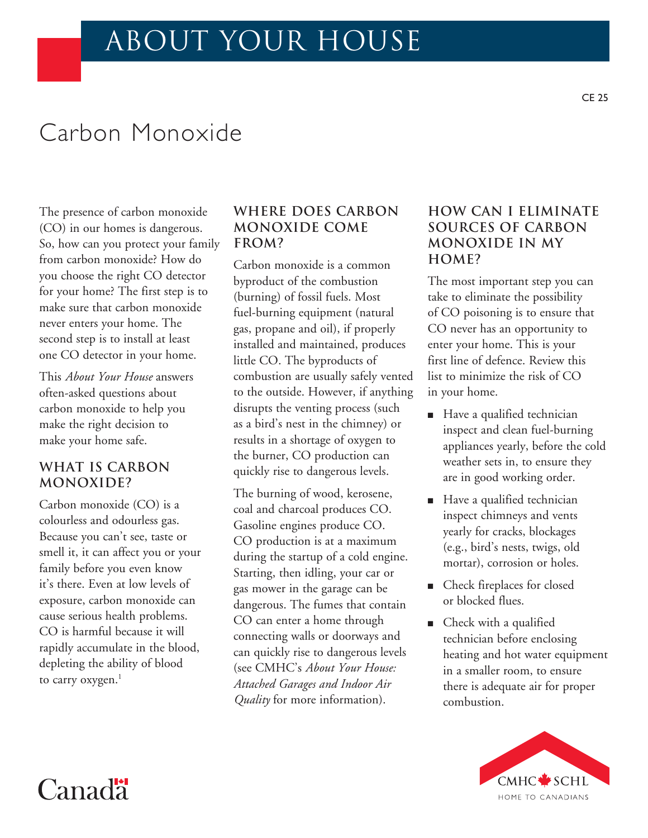# about your house

# Carbon Monoxide

The presence of carbon monoxide (CO) in our homes is dangerous. So, how can you protect your family from carbon monoxide? How do you choose the right CO detector for your home? The first step is to make sure that carbon monoxide never enters your home. The second step is to install at least one CO detector in your home.

This *About Your House* answers often-asked questions about carbon monoxide to help you make the right decision to make your home safe.

## **What is carbon monoxide?**

Carbon monoxide (CO) is a colourless and odourless gas. Because you can't see, taste or smell it, it can affect you or your family before you even know it's there. Even at low levels of exposure, carbon monoxide can cause serious health problems. CO is harmful because it will rapidly accumulate in the blood, depleting the ability of blood to carry oxygen.<sup>1</sup>

Canad<sup>"</sup>

## **Where does carbon monoxide come from?**

Carbon monoxide is a common byproduct of the combustion (burning) of fossil fuels. Most fuel-burning equipment (natural gas, propane and oil), if properly installed and maintained, produces little CO. The byproducts of combustion are usually safely vented to the outside. However, if anything disrupts the venting process (such as a bird's nest in the chimney) or results in a shortage of oxygen to the burner, CO production can quickly rise to dangerous levels.

The burning of wood, kerosene, coal and charcoal produces CO. Gasoline engines produce CO. CO production is at a maximum during the startup of a cold engine. Starting, then idling, your car or gas mower in the garage can be dangerous. The fumes that contain CO can enter a home through connecting walls or doorways and can quickly rise to dangerous levels (see CMHC's *About Your House: Attached Garages and Indoor Air Quality* for more information).

## **How can I eliminate sources of Carbon monoxide in my home?**

The most important step you can take to eliminate the possibility of CO poisoning is to ensure that CO never has an opportunity to enter your home. This is your first line of defence. Review this list to minimize the risk of CO in your home.

- Have a qualified technician inspect and clean fuel-burning appliances yearly, before the cold weather sets in, to ensure they are in good working order.
- Have a qualified technician inspect chimneys and vents yearly for cracks, blockages (e.g., bird's nests, twigs, old mortar), corrosion or holes.
- Check fireplaces for closed or blocked flues.
- $\blacksquare$  Check with a qualified technician before enclosing heating and hot water equipment in a smaller room, to ensure there is adequate air for proper combustion.

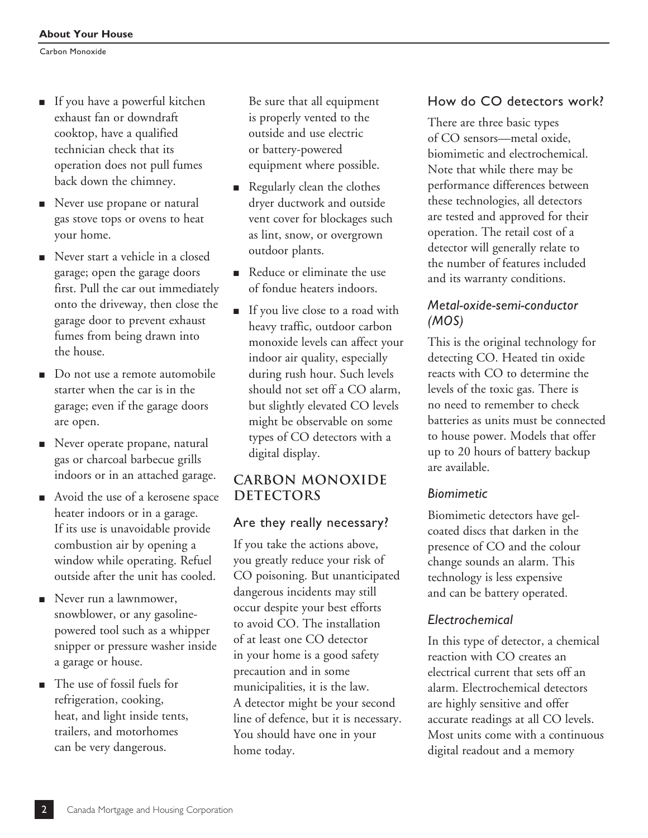- If you have a powerful kitchen exhaust fan or downdraft cooktop, have a qualified technician check that its operation does not pull fumes back down the chimney.
- **n** Never use propane or natural gas stove tops or ovens to heat your home.
- Never start a vehicle in a closed garage; open the garage doors first. Pull the car out immediately onto the driveway, then close the garage door to prevent exhaust fumes from being drawn into the house.
- Do not use a remote automobile starter when the car is in the garage; even if the garage doors are open.
- **Never operate propane, natural** gas or charcoal barbecue grills indoors or in an attached garage.
- Avoid the use of a kerosene space heater indoors or in a garage. If its use is unavoidable provide combustion air by opening a window while operating. Refuel outside after the unit has cooled.
- $\blacksquare$  Never run a lawnmower, snowblower, or any gasolinepowered tool such as a whipper snipper or pressure washer inside a garage or house.
- The use of fossil fuels for refrigeration, cooking, heat, and light inside tents, trailers, and motorhomes can be very dangerous.

Be sure that all equipment is properly vented to the outside and use electric or battery-powered equipment where possible.

- **n** Regularly clean the clothes dryer ductwork and outside vent cover for blockages such as lint, snow, or overgrown outdoor plants.
- **n** Reduce or eliminate the use of fondue heaters indoors.
- **n** If you live close to a road with heavy traffic, outdoor carbon monoxide levels can affect your indoor air quality, especially during rush hour. Such levels should not set off a CO alarm, but slightly elevated CO levels might be observable on some types of CO detectors with a digital display.

## **Carbon Monoxide DETECTORS**

## Are they really necessary?

If you take the actions above, you greatly reduce your risk of CO poisoning. But unanticipated dangerous incidents may still occur despite your best efforts to avoid CO. The installation of at least one CO detector in your home is a good safety precaution and in some municipalities, it is the law. A detector might be your second line of defence, but it is necessary. You should have one in your home today.

## How do CO detectors work?

There are three basic types of CO sensors—metal oxide, biomimetic and electrochemical. Note that while there may be performance differences between these technologies, all detectors are tested and approved for their operation. The retail cost of a detector will generally relate to the number of features included and its warranty conditions.

## *Metal-oxide-semi-conductor (MOS)*

This is the original technology for detecting CO. Heated tin oxide reacts with CO to determine the levels of the toxic gas. There is no need to remember to check batteries as units must be connected to house power. Models that offer up to 20 hours of battery backup are available.

## *Biomimetic*

Biomimetic detectors have gelcoated discs that darken in the presence of CO and the colour change sounds an alarm. This technology is less expensive and can be battery operated.

## *Electrochemical*

In this type of detector, a chemical reaction with CO creates an electrical current that sets off an alarm. Electrochemical detectors are highly sensitive and offer accurate readings at all CO levels. Most units come with a continuous digital readout and a memory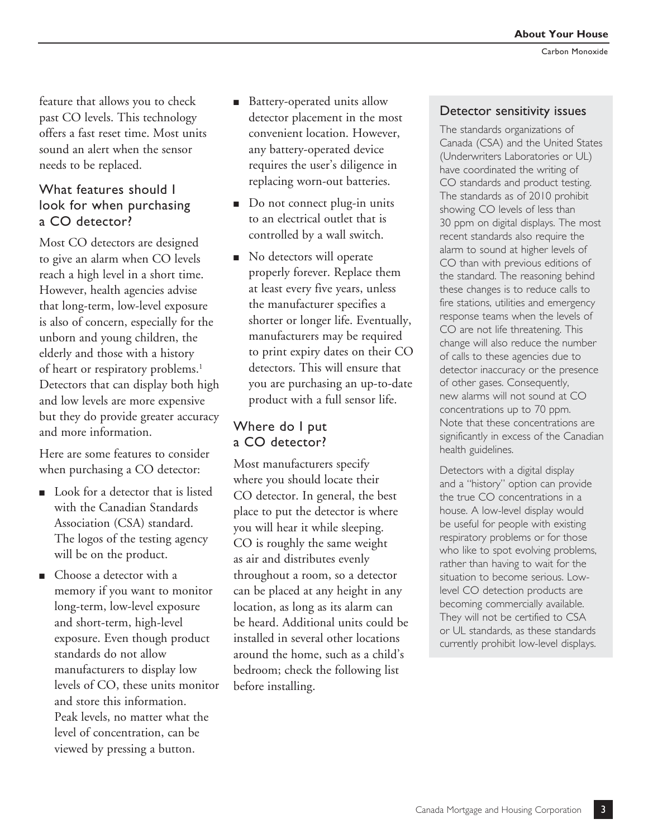feature that allows you to check past CO levels. This technology offers a fast reset time. Most units sound an alert when the sensor needs to be replaced.

### What features should I look for when purchasing a CO detector?

Most CO detectors are designed to give an alarm when CO levels reach a high level in a short time. However, health agencies advise that long-term, low-level exposure is also of concern, especially for the unborn and young children, the elderly and those with a history of heart or respiratory problems.<sup>1</sup> Detectors that can display both high and low levels are more expensive but they do provide greater accuracy and more information.

Here are some features to consider when purchasing a CO detector:

- Look for a detector that is listed with the Canadian Standards Association (CSA) standard. The logos of the testing agency will be on the product.
- $\blacksquare$  Choose a detector with a memory if you want to monitor long-term, low-level exposure and short-term, high-level exposure. Even though product standards do not allow manufacturers to display low levels of CO, these units monitor and store this information. Peak levels, no matter what the level of concentration, can be viewed by pressing a button.
- Battery-operated units allow detector placement in the most convenient location. However, any battery-operated device requires the user's diligence in replacing worn-out batteries.
- Do not connect plug-in units to an electrical outlet that is controlled by a wall switch.
- No detectors will operate properly forever. Replace them at least every five years, unless the manufacturer specifies a shorter or longer life. Eventually, manufacturers may be required to print expiry dates on their CO detectors. This will ensure that you are purchasing an up-to-date product with a full sensor life.

## Where do I put a CO detector?

Most manufacturers specify where you should locate their CO detector. In general, the best place to put the detector is where you will hear it while sleeping. CO is roughly the same weight as air and distributes evenly throughout a room, so a detector can be placed at any height in any location, as long as its alarm can be heard. Additional units could be installed in several other locations around the home, such as a child's bedroom; check the following list before installing.

#### Detector sensitivity issues

The standards organizations of Canada (CSA) and the United States (Underwriters Laboratories or UL) have coordinated the writing of CO standards and product testing. The standards as of 2010 prohibit showing CO levels of less than 30 ppm on digital displays. The most recent standards also require the alarm to sound at higher levels of CO than with previous editions of the standard. The reasoning behind these changes is to reduce calls to fire stations, utilities and emergency response teams when the levels of CO are not life threatening. This change will also reduce the number of calls to these agencies due to detector inaccuracy or the presence of other gases. Consequently, new alarms will not sound at CO concentrations up to 70 ppm. Note that these concentrations are significantly in excess of the Canadian health guidelines.

Detectors with a digital display and a "history" option can provide the true CO concentrations in a house. A low-level display would be useful for people with existing respiratory problems or for those who like to spot evolving problems, rather than having to wait for the situation to become serious. Lowlevel CO detection products are becoming commercially available. They will not be certified to CSA or UL standards, as these standards currently prohibit low-level displays.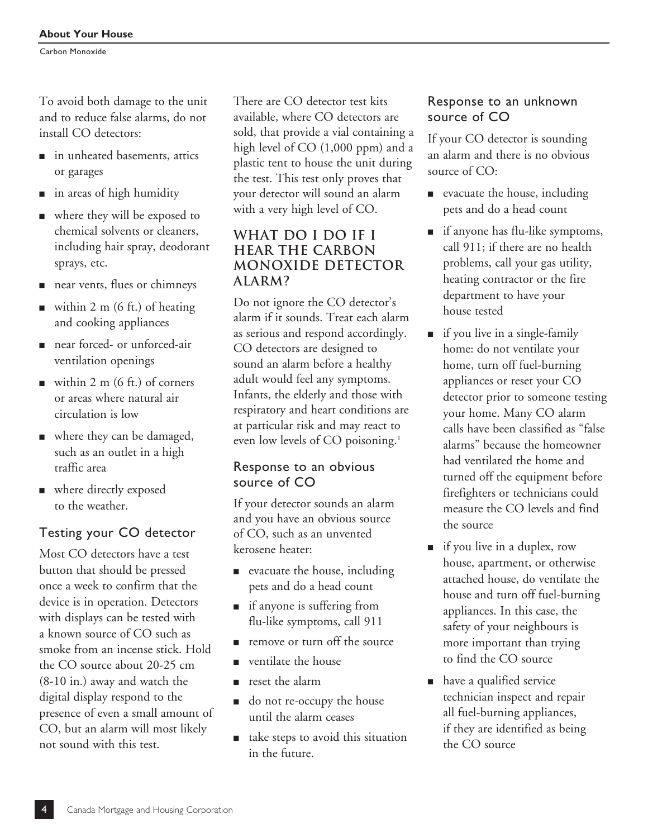To avoid both damage to the unit and to reduce false alarms, do not install CO detectors:

- n in unheated basements, attics or garages
- $\blacksquare$  in areas of high humidity
- now where they will be exposed to chemical solvents or cleaners, including hair spray, deodorant sprays, etc.
- near vents, flues or chimneys
- within 2 m (6 ft.) of heating and cooking appliances
- near forced- or unforced-air ventilation openings
- within 2 m (6 ft.) of corners or areas where natural air circulation is low
- where they can be damaged, such as an outlet in a high traffic area
- where directly exposed to the weather.

## Testing your CO detector

Most CO detectors have a test button that should be pressed once a week to confirm that the device is in operation. Detectors with displays can be tested with a known source of CO such as smoke from an incense stick. Hold the CO source about 20-25 cm (8-10 in.) away and watch the digital display respond to the presence of even a small amount of CO, but an alarm will most likely not sound with this test.

There are CO detector test kits available, where CO detectors are sold, that provide a vial containing a high level of CO (1,000 ppm) and a plastic tent to house the unit during the test. This test only proves that your detector will sound an alarm with a very high level of CO.

## **What do I do if I hear the carbon monoxide detector alarm?**

Do not ignore the CO detector's alarm if it sounds. Treat each alarm as serious and respond accordingly. CO detectors are designed to sound an alarm before a healthy adult would feel any symptoms. Infants, the elderly and those with respiratory and heart conditions are at particular risk and may react to even low levels of CO poisoning.<sup>1</sup>

## Response to an obvious source of CO

If your detector sounds an alarm and you have an obvious source of CO, such as an unvented kerosene heater:

- $\blacksquare$  evacuate the house, including pets and do a head count
- $\blacksquare$  if anyone is suffering from flu-like symptoms, call 911
- n remove or turn off the source
- ventilate the house
- $\blacksquare$  reset the alarm
- $\Box$  do not re-occupy the house until the alarm ceases
- take steps to avoid this situation in the future.

## Response to an unknown source of CO

If your CO detector is sounding an alarm and there is no obvious source of CO:

- evacuate the house, including pets and do a head count
- $\blacksquare$  if anyone has flu-like symptoms, call 911; if there are no health problems, call your gas utility, heating contractor or the fire department to have your house tested
- $\blacksquare$  if you live in a single-family home: do not ventilate your home, turn off fuel-burning appliances or reset your CO detector prior to someone testing your home. Many CO alarm calls have been classified as "false alarms" because the homeowner had ventilated the home and turned off the equipment before firefighters or technicians could measure the CO levels and find the source
- $\blacksquare$  if you live in a duplex, row house, apartment, or otherwise attached house, do ventilate the house and turn off fuel-burning appliances. In this case, the safety of your neighbours is more important than trying to find the CO source
- n have a qualified service technician inspect and repair all fuel-burning appliances, if they are identified as being the CO source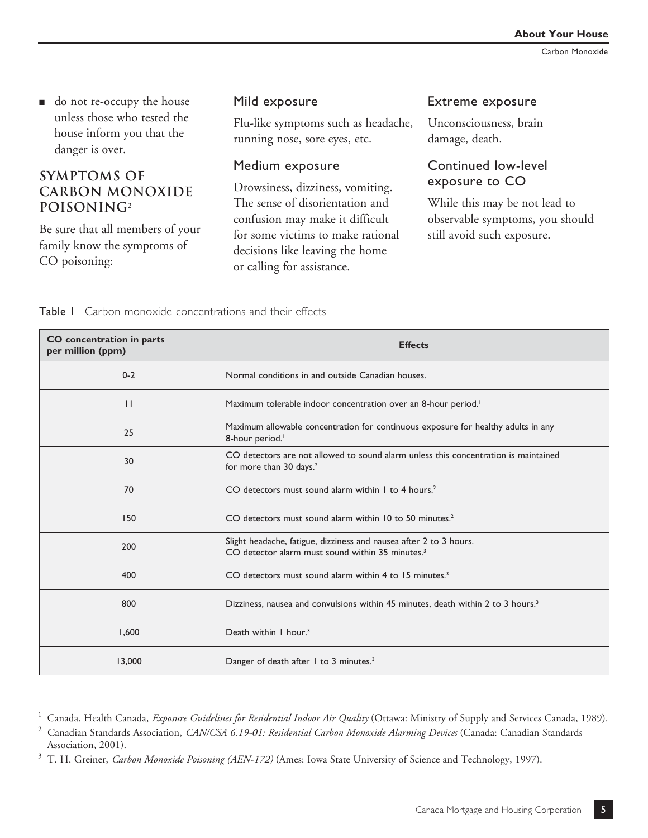■ do not re-occupy the house unless those who tested the house inform you that the danger is over.

## **Symptoms of Carbon monoxide poisoning**<sup>2</sup>

Be sure that all members of your family know the symptoms of CO poisoning:

**CO concentration in parts** 

### Mild exposure

Flu-like symptoms such as headache, running nose, sore eyes, etc.

#### Medium exposure

Drowsiness, dizziness, vomiting. The sense of disorientation and confusion may make it difficult for some victims to make rational decisions like leaving the home or calling for assistance.

#### Extreme exposure

Unconsciousness, brain damage, death.

## Continued low-level exposure to CO

While this may be not lead to observable symptoms, you should still avoid such exposure.

|  | Table I Carbon monoxide concentrations and their effects |  |  |
|--|----------------------------------------------------------|--|--|

| per million (ppm) | <b>Effects</b>                                                                                                                     |  |  |
|-------------------|------------------------------------------------------------------------------------------------------------------------------------|--|--|
| $0 - 2$           | Normal conditions in and outside Canadian houses.                                                                                  |  |  |
| $\mathbf{1}$      | Maximum tolerable indoor concentration over an 8-hour period. <sup>1</sup>                                                         |  |  |
| 25                | Maximum allowable concentration for continuous exposure for healthy adults in any<br>8-hour period.                                |  |  |
| 30                | CO detectors are not allowed to sound alarm unless this concentration is maintained<br>for more than 30 days. <sup>2</sup>         |  |  |
| 70                | CO detectors must sound alarm within 1 to 4 hours. <sup>2</sup>                                                                    |  |  |
| 150               | CO detectors must sound alarm within 10 to 50 minutes. <sup>2</sup>                                                                |  |  |
| 200               | Slight headache, fatigue, dizziness and nausea after 2 to 3 hours.<br>CO detector alarm must sound within 35 minutes. <sup>3</sup> |  |  |
| 400               | CO detectors must sound alarm within 4 to 15 minutes. <sup>3</sup>                                                                 |  |  |
| 800               | Dizziness, nausea and convulsions within 45 minutes, death within 2 to 3 hours. <sup>3</sup>                                       |  |  |
| 1,600             | Death within I hour. <sup>3</sup>                                                                                                  |  |  |
| 13,000            | Danger of death after 1 to 3 minutes. <sup>3</sup>                                                                                 |  |  |

<sup>&</sup>lt;sup>1</sup> Canada. Health Canada, *Exposure Guidelines for Residential Indoor Air Quality* (Ottawa: Ministry of Supply and Services Canada, 1989).

<sup>2</sup> Canadian Standards Association, *CAN/CSA 6.19-01: Residential Carbon Monoxide Alarming Devices* (Canada: Canadian Standards Association, 2001).

<sup>3</sup> T. H. Greiner, *Carbon Monoxide Poisoning (AEN-172)* (Ames: Iowa State University of Science and Technology, 1997).